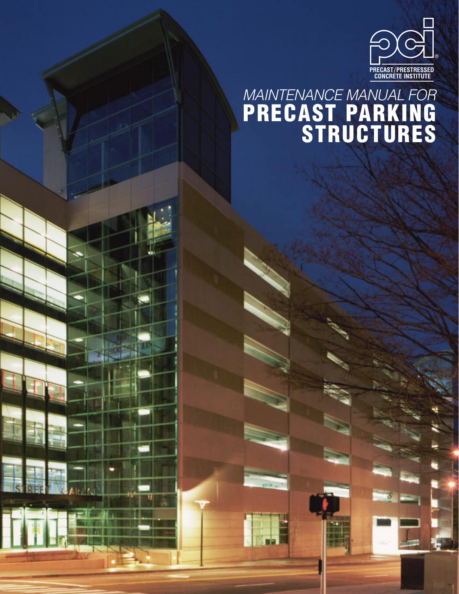

# MAINTENANCE MANUAL FOR PRECAST PARKING STRUCTURES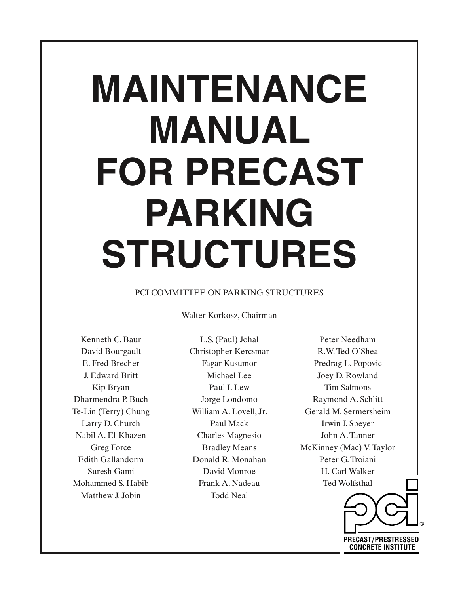# **MAINTENANCE MANUAL FOR PRECAST PARKING STRUCTURES**

# PCI COMMITTEE ON PARKING STRUCTURES

Walter Korkosz, Chairman

Kenneth C. Baur David Bourgault E. Fred Brecher J. Edward Britt Kip Bryan Dharmendra P. Buch Te-Lin (Terry) Chung Larry D. Church Nabil A. El-Khazen Greg Force Edith Gallandorm Suresh Gami Mohammed S. Habib Matthew J. Jobin

L.S. (Paul) Johal Christopher Kercsmar Fagar Kusumor Michael Lee Paul I. Lew Jorge Londomo William A. Lovell, Jr. Paul Mack Charles Magnesio Bradley Means Donald R. Monahan David Monroe Frank A. Nadeau Todd Neal

Peter Needham R.W. Ted O'Shea Predrag L. Popovic Joey D. Rowland Tim Salmons Raymond A. Schlitt Gerald M. Sermersheim Irwin J. Speyer John A. Tanner McKinney (Mac) V. Taylor Peter G. Troiani H. Carl Walker Ted Wolfsthal

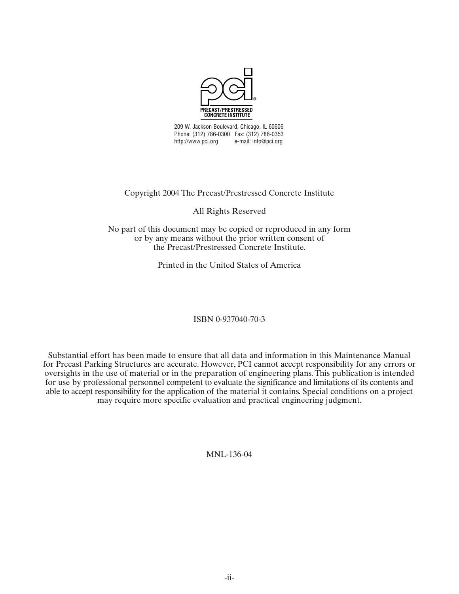

209 W. Jackson Boulevard, Chicago, IL 60606 Phone: (312) 786-0300 Fax: (312) 786-0353 http://www.pci.org e-mail: info@pci.org

# Copyright 2004 The Precast/Prestressed Concrete Institute

All Rights Reserved

No part of this document may be copied or reproduced in any form or by any means without the prior written consent of the Precast/Prestressed Concrete Institute.

Printed in the United States of America

ISBN 0-937040-70-3

Substantial effort has been made to ensure that all data and information in this Maintenance Manual for Precast Parking Structures are accurate. However, PCI cannot accept responsibility for any errors or oversights in the use of material or in the preparation of engineering plans. This publication is intended for use by professional personnel competent to evaluate the significance and limitations of its contents and able to accept responsibility for the application of the material it contains. Special conditions on a project may require more specific evaluation and practical engineering judgment.

MNL-136-04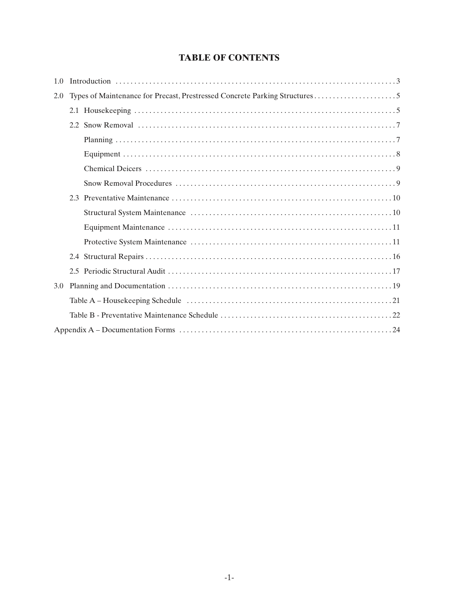# **TABLE OF CONTENTS**

| 1.0 |                                                                             |  |
|-----|-----------------------------------------------------------------------------|--|
| 2.0 | Types of Maintenance for Precast, Prestressed Concrete Parking Structures 5 |  |
|     |                                                                             |  |
|     |                                                                             |  |
|     |                                                                             |  |
|     |                                                                             |  |
|     |                                                                             |  |
|     |                                                                             |  |
|     |                                                                             |  |
|     |                                                                             |  |
|     |                                                                             |  |
|     |                                                                             |  |
|     |                                                                             |  |
|     |                                                                             |  |
| 3.0 |                                                                             |  |
|     |                                                                             |  |
|     |                                                                             |  |
|     |                                                                             |  |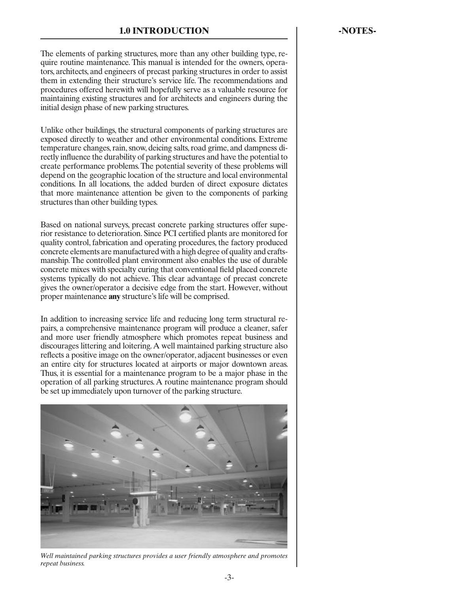<span id="page-5-0"></span>The elements of parking structures, more than any other building type, require routine maintenance. This manual is intended for the owners, operators, architects, and engineers of precast parking structures in order to assist them in extending their structure's service life. The recommendations and procedures offered herewith will hopefully serve as a valuable resource for maintaining existing structures and for architects and engineers during the initial design phase of new parking structures.

Unlike other buildings, the structural components of parking structures are exposed directly to weather and other environmental conditions. Extreme temperature changes, rain, snow, deicing salts, road grime, and dampness directly influence the durability of parking structures and have the potential to create performance problems. The potential severity of these problems will depend on the geographic location of the structure and local environmental conditions. In all locations, the added burden of direct exposure dictates that more maintenance attention be given to the components of parking structures than other building types.

Based on national surveys, precast concrete parking structures offer superior resistance to deterioration. Since PCI certified plants are monitored for quality control, fabrication and operating procedures, the factory produced concrete elements are manufactured with a high degree of quality and craftsmanship. The controlled plant environment also enables the use of durable concrete mixes with specialty curing that conventional field placed concrete systems typically do not achieve. This clear advantage of precast concrete gives the owner/operator a decisive edge from the start. However, without proper maintenance **any** structure's life will be comprised.

In addition to increasing service life and reducing long term structural repairs, a comprehensive maintenance program will produce a cleaner, safer and more user friendly atmosphere which promotes repeat business and discourages littering and loitering. A well maintained parking structure also reflects a positive image on the owner/operator, adjacent businesses or even an entire city for structures located at airports or major downtown areas. Thus, it is essential for a maintenance program to be a major phase in the operation of all parking structures. A routine maintenance program should be set up immediately upon turnover of the parking structure.



*Well maintained parking structures provides a user friendly atmosphere and promotes repeat business.*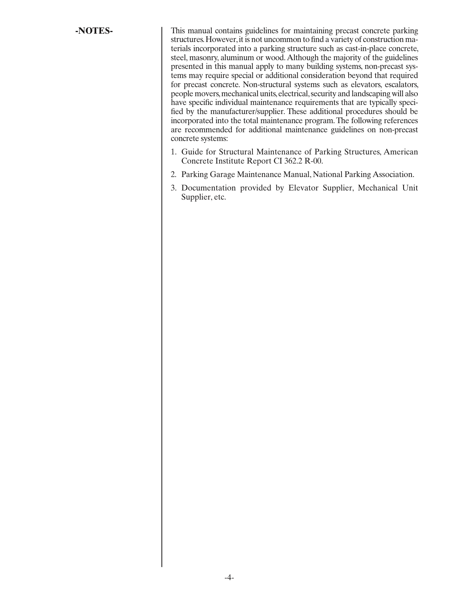**-NOTES-** This manual contains guidelines for maintaining precast concrete parking structures. However, it is not uncommon to find a variety of construction materials incorporated into a parking structure such as cast-in-place concrete, steel, masonry, aluminum or wood. Although the majority of the guidelines presented in this manual apply to many building systems, non-precast systems may require special or additional consideration beyond that required for precast concrete. Non-structural systems such as elevators, escalators, people movers, mechanical units, electrical, security and landscaping will also have specific individual maintenance requirements that are typically specified by the manufacturer/supplier. These additional procedures should be incorporated into the total maintenance program. The following references are recommended for additional maintenance guidelines on non-precast concrete systems:

- 1. Guide for Structural Maintenance of Parking Structures, American Concrete Institute Report CI 362.2 R-00.
- 2. Parking Garage Maintenance Manual, National Parking Association.
- 3. Documentation provided by Elevator Supplier, Mechanical Unit Supplier, etc.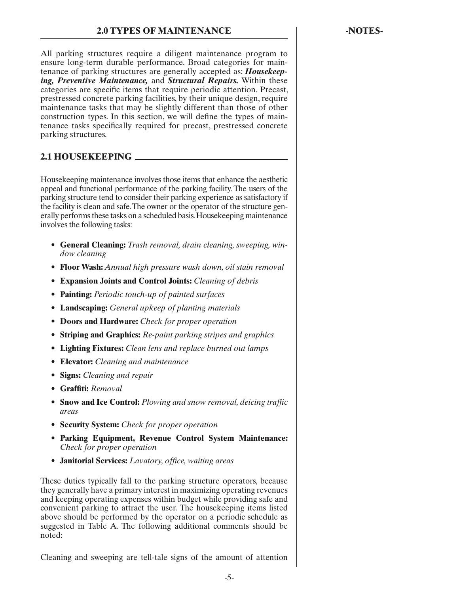<span id="page-7-0"></span>All parking structures require a diligent maintenance program to ensure long-term durable performance. Broad categories for maintenance of parking structures are generally accepted as: *Housekeeping, Preventive Maintenance,* and *Structural Repairs.* Within these categories are specific items that require periodic attention. Precast, prestressed concrete parking facilities, by their unique design, require maintenance tasks that may be slightly different than those of other construction types. In this section, we will define the types of maintenance tasks specifically required for precast, prestressed concrete parking structures.

# **2.1 HOUSEKEEPING**

Housekeeping maintenance involves those items that enhance the aesthetic appeal and functional performance of the parking facility. The users of the parking structure tend to consider their parking experience as satisfactory if the facility is clean and safe. The owner or the operator of the structure generally performs these tasks on a scheduled basis. Housekeeping maintenance involves the following tasks:

- **General Cleaning:** *Trash removal, drain cleaning, sweeping, window cleaning*
- **Floor Wash:** *Annual high pressure wash down, oil stain removal*
- **Expansion Joints and Control Joints:** *Cleaning of debris*
- **Painting:** *Periodic touch-up of painted surfaces*
- **Landscaping:** *General upkeep of planting materials*
- **Doors and Hardware:** *Check for proper operation*
- **Striping and Graphics:** *Re-paint parking stripes and graphics*
- **Lighting Fixtures:** *Clean lens and replace burned out lamps*
- **Elevator:** *Cleaning and maintenance*
- **Signs:** *Cleaning and repair*
- **Graffiti:** *Removal*
- **Snow and Ice Control:** *Plowing and snow removal, deicing traffic areas*
- **Security System:** *Check for proper operation*
- **Parking Equipment, Revenue Control System Maintenance:** *Check for proper operation*
- **Janitorial Services:** *Lavatory, office, waiting areas*

These duties typically fall to the parking structure operators, because they generally have a primary interest in maximizing operating revenues and keeping operating expenses within budget while providing safe and convenient parking to attract the user. The housekeeping items listed above should be performed by the operator on a periodic schedule as suggested in Table A. The following additional comments should be noted:

Cleaning and sweeping are tell-tale signs of the amount of attention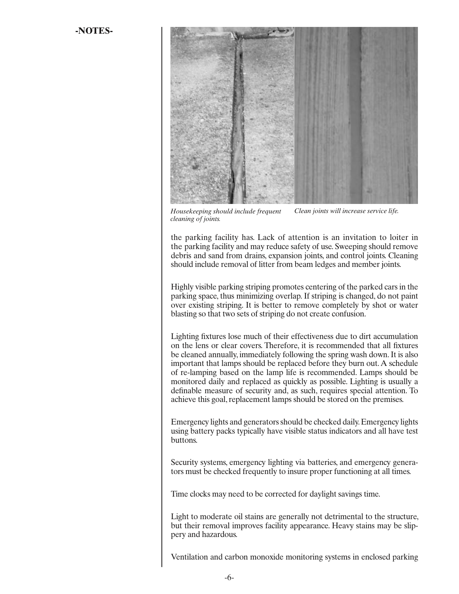

*Housekeeping should include frequent cleaning of joints. Clean joints will increase service life.*

the parking facility has. Lack of attention is an invitation to loiter in the parking facility and may reduce safety of use. Sweeping should remove debris and sand from drains, expansion joints, and control joints. Cleaning should include removal of litter from beam ledges and member joints.

Highly visible parking striping promotes centering of the parked cars in the parking space, thus minimizing overlap. If striping is changed, do not paint over existing striping. It is better to remove completely by shot or water blasting so that two sets of striping do not create confusion.

Lighting fixtures lose much of their effectiveness due to dirt accumulation on the lens or clear covers. Therefore, it is recommended that all fixtures be cleaned annually, immediately following the spring wash down. It is also important that lamps should be replaced before they burn out. A schedule of re-lamping based on the lamp life is recommended. Lamps should be monitored daily and replaced as quickly as possible. Lighting is usually a definable measure of security and, as such, requires special attention. To achieve this goal, replacement lamps should be stored on the premises.

Emergency lights and generators should be checked daily. Emergency lights using battery packs typically have visible status indicators and all have test buttons.

Security systems, emergency lighting via batteries, and emergency generators must be checked frequently to insure proper functioning at all times.

Time clocks may need to be corrected for daylight savings time.

Light to moderate oil stains are generally not detrimental to the structure, but their removal improves facility appearance. Heavy stains may be slippery and hazardous.

Ventilation and carbon monoxide monitoring systems in enclosed parking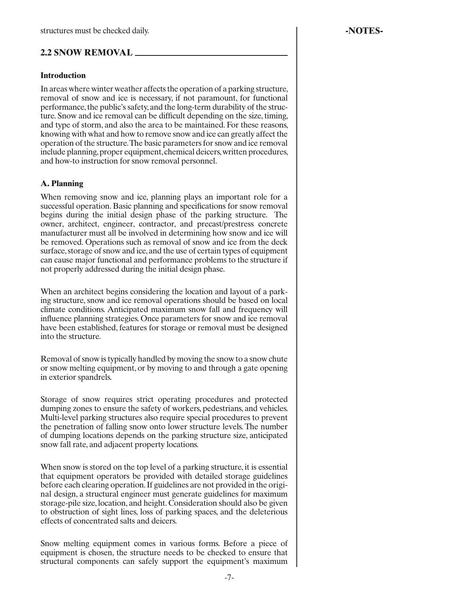# <span id="page-9-0"></span>**2.2 SNOW REMOVAL**

#### **Introduction**

In areas where winter weather affects the operation of a parking structure, removal of snow and ice is necessary, if not paramount, for functional performance, the public's safety, and the long-term durability of the structure. Snow and ice removal can be difficult depending on the size, timing, and type of storm, and also the area to be maintained. For these reasons, knowing with what and how to remove snow and ice can greatly affect the operation of the structure. The basic parameters for snow and ice removal include planning, proper equipment, chemical deicers, written procedures, and how-to instruction for snow removal personnel.

#### **A. Planning**

When removing snow and ice, planning plays an important role for a successful operation. Basic planning and specifications for snow removal begins during the initial design phase of the parking structure. The owner, architect, engineer, contractor, and precast/prestress concrete manufacturer must all be involved in determining how snow and ice will be removed. Operations such as removal of snow and ice from the deck surface, storage of snow and ice, and the use of certain types of equipment can cause major functional and performance problems to the structure if not properly addressed during the initial design phase.

When an architect begins considering the location and layout of a parking structure, snow and ice removal operations should be based on local climate conditions. Anticipated maximum snow fall and frequency will influence planning strategies. Once parameters for snow and ice removal have been established, features for storage or removal must be designed into the structure.

Removal of snow is typically handled by moving the snow to a snow chute or snow melting equipment, or by moving to and through a gate opening in exterior spandrels.

Storage of snow requires strict operating procedures and protected dumping zones to ensure the safety of workers, pedestrians, and vehicles. Multi-level parking structures also require special procedures to prevent the penetration of falling snow onto lower structure levels. The number of dumping locations depends on the parking structure size, anticipated snow fall rate, and adjacent property locations.

When snow is stored on the top level of a parking structure, it is essential that equipment operators be provided with detailed storage guidelines before each clearing operation. If guidelines are not provided in the original design, a structural engineer must generate guidelines for maximum storage-pile size, location, and height. Consideration should also be given to obstruction of sight lines, loss of parking spaces, and the deleterious effects of concentrated salts and deicers.

Snow melting equipment comes in various forms. Before a piece of equipment is chosen, the structure needs to be checked to ensure that structural components can safely support the equipment's maximum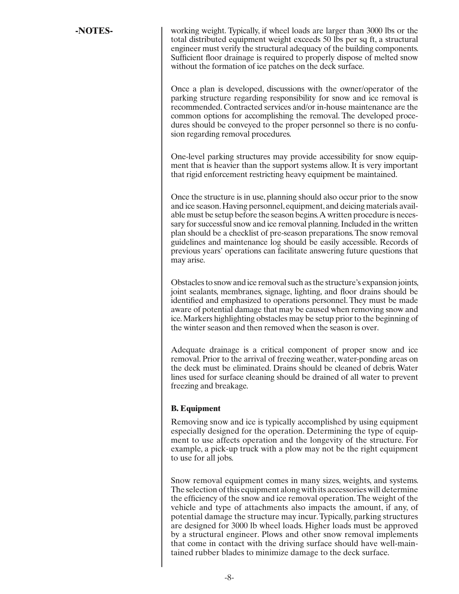<span id="page-10-0"></span>**-NOTES-** working weight. Typically, if wheel loads are larger than 3000 lbs or the total distributed equipment weight exceeds 50 lbs per sq ft, a structural engineer must verify the structural adequacy of the building components. Sufficient floor drainage is required to properly dispose of melted snow without the formation of ice patches on the deck surface.

> Once a plan is developed, discussions with the owner/operator of the parking structure regarding responsibility for snow and ice removal is recommended. Contracted services and/or in-house maintenance are the common options for accomplishing the removal. The developed procedures should be conveyed to the proper personnel so there is no confusion regarding removal procedures.

> One-level parking structures may provide accessibility for snow equipment that is heavier than the support systems allow. It is very important that rigid enforcement restricting heavy equipment be maintained.

> Once the structure is in use, planning should also occur prior to the snow and ice season. Having personnel, equipment, and deicing materials available must be setup before the season begins. A written procedure is necessary for successful snow and ice removal planning. Included in the written plan should be a checklist of pre-season preparations. The snow removal guidelines and maintenance log should be easily accessible. Records of previous years' operations can facilitate answering future questions that may arise.

> Obstacles to snow and ice removal such as the structure's expansion joints, joint sealants, membranes, signage, lighting, and floor drains should be identified and emphasized to operations personnel. They must be made aware of potential damage that may be caused when removing snow and ice. Markers highlighting obstacles may be setup prior to the beginning of the winter season and then removed when the season is over.

> Adequate drainage is a critical component of proper snow and ice removal. Prior to the arrival of freezing weather, water-ponding areas on the deck must be eliminated. Drains should be cleaned of debris. Water lines used for surface cleaning should be drained of all water to prevent freezing and breakage.

# **B. Equipment**

Removing snow and ice is typically accomplished by using equipment especially designed for the operation. Determining the type of equipment to use affects operation and the longevity of the structure. For example, a pick-up truck with a plow may not be the right equipment to use for all jobs.

Snow removal equipment comes in many sizes, weights, and systems. The selection of this equipment along with its accessories will determine the efficiency of the snow and ice removal operation. The weight of the vehicle and type of attachments also impacts the amount, if any, of potential damage the structure may incur. Typically, parking structures are designed for 3000 lb wheel loads. Higher loads must be approved by a structural engineer. Plows and other snow removal implements that come in contact with the driving surface should have well-maintained rubber blades to minimize damage to the deck surface.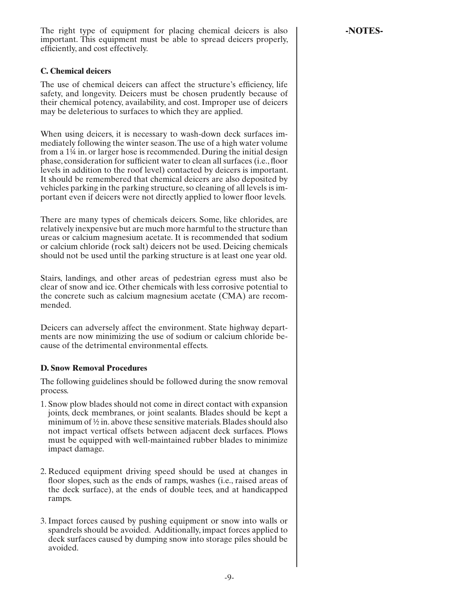-9-

<span id="page-11-0"></span>The right type of equipment for placing chemical deicers is also **FICOLL -NOTES** important. This equipment must be able to spread deicers properly, efficiently, and cost effectively.

# **C. Chemical deicers**

The use of chemical deicers can affect the structure's efficiency, life safety, and longevity. Deicers must be chosen prudently because of their chemical potency, availability, and cost. Improper use of deicers may be deleterious to surfaces to which they are applied.

When using deicers, it is necessary to wash-down deck surfaces immediately following the winter season. The use of a high water volume from a 1¼ in. or larger hose is recommended. During the initial design phase, consideration for sufficient water to clean all surfaces (i.e., floor levels in addition to the roof level) contacted by deicers is important. It should be remembered that chemical deicers are also deposited by vehicles parking in the parking structure, so cleaning of all levels is important even if deicers were not directly applied to lower floor levels.

There are many types of chemicals deicers. Some, like chlorides, are relatively inexpensive but are much more harmful to the structure than ureas or calcium magnesium acetate. It is recommended that sodium or calcium chloride (rock salt) deicers not be used. Deicing chemicals should not be used until the parking structure is at least one year old.

Stairs, landings, and other areas of pedestrian egress must also be clear of snow and ice. Other chemicals with less corrosive potential to the concrete such as calcium magnesium acetate (CMA) are recommended.

Deicers can adversely affect the environment. State highway departments are now minimizing the use of sodium or calcium chloride because of the detrimental environmental effects.

# **D. Snow Removal Procedures**

The following guidelines should be followed during the snow removal process.

- 1. Snow plow blades should not come in direct contact with expansion joints, deck membranes, or joint sealants. Blades should be kept a minimum of ½ in. above these sensitive materials. Blades should also not impact vertical offsets between adjacent deck surfaces. Plows must be equipped with well-maintained rubber blades to minimize impact damage.
- 2. Reduced equipment driving speed should be used at changes in floor slopes, such as the ends of ramps, washes (i.e., raised areas of the deck surface), at the ends of double tees, and at handicapped ramps.
- 3. Impact forces caused by pushing equipment or snow into walls or spandrels should be avoided. Additionally, impact forces applied to deck surfaces caused by dumping snow into storage piles should be avoided.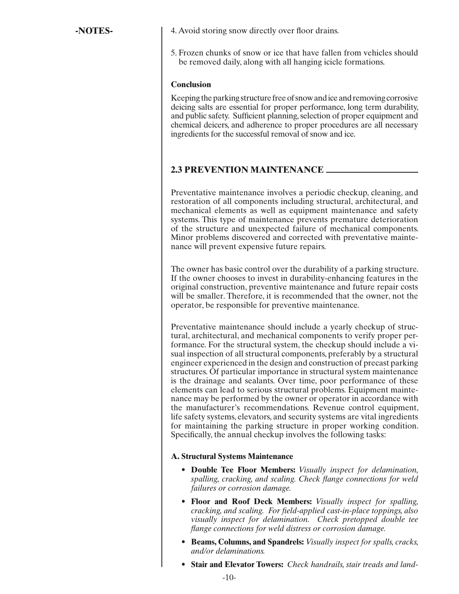<span id="page-12-0"></span>**-NOTES-** 1. Avoid storing snow directly over floor drains.

5. Frozen chunks of snow or ice that have fallen from vehicles should be removed daily, along with all hanging icicle formations.

#### **Conclusion**

Keeping the parking structure free of snow and ice and removing corrosive deicing salts are essential for proper performance, long term durability, and public safety. Sufficient planning, selection of proper equipment and chemical deicers, and adherence to proper procedures are all necessary ingredients for the successful removal of snow and ice.

# **2.3 PREVENTION MAINTENANCE**

Preventative maintenance involves a periodic checkup, cleaning, and restoration of all components including structural, architectural, and mechanical elements as well as equipment maintenance and safety systems. This type of maintenance prevents premature deterioration of the structure and unexpected failure of mechanical components. Minor problems discovered and corrected with preventative maintenance will prevent expensive future repairs.

The owner has basic control over the durability of a parking structure. If the owner chooses to invest in durability-enhancing features in the original construction, preventive maintenance and future repair costs will be smaller. Therefore, it is recommended that the owner, not the operator, be responsible for preventive maintenance.

Preventative maintenance should include a yearly checkup of structural, architectural, and mechanical components to verify proper performance. For the structural system, the checkup should include a visual inspection of all structural components, preferably by a structural engineer experienced in the design and construction of precast parking structures. Of particular importance in structural system maintenance is the drainage and sealants. Over time, poor performance of these elements can lead to serious structural problems. Equipment maintenance may be performed by the owner or operator in accordance with the manufacturer's recommendations. Revenue control equipment, life safety systems, elevators, and security systems are vital ingredients for maintaining the parking structure in proper working condition. Specifically, the annual checkup involves the following tasks:

#### **A. Structural Systems Maintenance**

- **Double Tee Floor Members:** *Visually inspect for delamination, spalling, cracking, and scaling. Check flange connections for weld failures or corrosion damage.*
- **Floor and Roof Deck Members:** *Visually inspect for spalling, cracking, and scaling. For field-applied cast-in-place toppings, also visually inspect for delamination. Check pretopped double tee flange connections for weld distress or corrosion damage.*
- **Beams, Columns, and Spandrels:** *Visually inspect for spalls, cracks, and/or delaminations.*
- **Stair and Elevator Towers:** *Check handrails, stair treads and land-*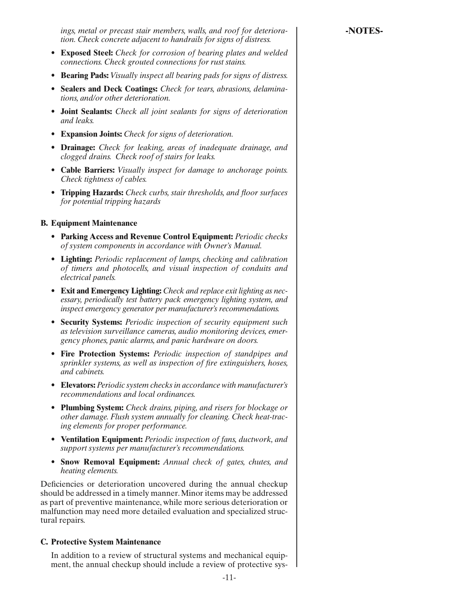<span id="page-13-0"></span>*ings, metal or precast stair members, walls, and roof for deteriora-* | **-NOTES***tion. Check concrete adjacent to handrails for signs of distress.*

- **Exposed Steel:** *Check for corrosion of bearing plates and welded connections. Check grouted connections for rust stains.*
- **Bearing Pads:** *Visually inspect all bearing pads for signs of distress.*
- **Sealers and Deck Coatings:** *Check for tears, abrasions, delaminations, and/or other deterioration.*
- **Joint Sealants:** *Check all joint sealants for signs of deterioration and leaks.*
- **Expansion Joints:** *Check for signs of deterioration.*
- **Drainage:** *Check for leaking, areas of inadequate drainage, and clogged drains. Check roof of stairs for leaks.*
- **Cable Barriers:** *Visually inspect for damage to anchorage points. Check tightness of cables.*
- **Tripping Hazards:** *Check curbs, stair thresholds, and floor surfaces for potential tripping hazards*

#### **B. Equipment Maintenance**

- **Parking Access and Revenue Control Equipment:** *Periodic checks of system components in accordance with Owner's Manual.*
- **Lighting:** *Periodic replacement of lamps, checking and calibration of timers and photocells, and visual inspection of conduits and electrical panels.*
- **Exit and Emergency Lighting:** *Check and replace exit lighting as necessary, periodically test battery pack emergency lighting system, and inspect emergency generator per manufacturer's recommendations.*
- **Security Systems:** *Periodic inspection of security equipment such as television surveillance cameras, audio monitoring devices, emergency phones, panic alarms, and panic hardware on doors.*
- **Fire Protection Systems:** *Periodic inspection of standpipes and sprinkler systems, as well as inspection of fire extinguishers, hoses, and cabinets.*
- **Elevators:** *Periodic system checks in accordance with manufacturer's recommendations and local ordinances.*
- **Plumbing System:** *Check drains, piping, and risers for blockage or other damage. Flush system annually for cleaning. Check heat-tracing elements for proper performance.*
- **Ventilation Equipment:** *Periodic inspection of fans, ductwork, and support systems per manufacturer's recommendations.*
- **Snow Removal Equipment:** *Annual check of gates, chutes, and heating elements.*

Deficiencies or deterioration uncovered during the annual checkup should be addressed in a timely manner. Minor items may be addressed as part of preventive maintenance, while more serious deterioration or malfunction may need more detailed evaluation and specialized structural repairs.

#### **C. Protective System Maintenance**

 In addition to a review of structural systems and mechanical equipment, the annual checkup should include a review of protective sys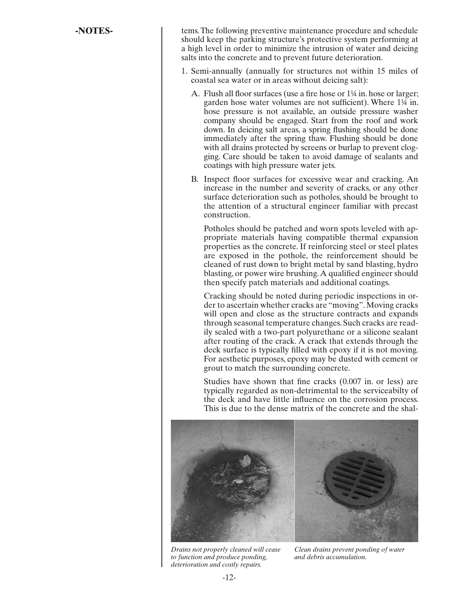**-NOTES-** tems. The following preventive maintenance procedure and schedule should keep the parking structure's protective system performing at a high level in order to minimize the intrusion of water and deicing salts into the concrete and to prevent future deterioration.

- 1. Semi-annually (annually for structures not within 15 miles of coastal sea water or in areas without deicing salt):
	- A. Flush all floor surfaces (use a fire hose or 1¼ in. hose or larger; garden hose water volumes are not sufficient). Where 1¼ in. hose pressure is not available, an outside pressure washer company should be engaged. Start from the roof and work down. In deicing salt areas, a spring flushing should be done immediately after the spring thaw. Flushing should be done with all drains protected by screens or burlap to prevent clogging. Care should be taken to avoid damage of sealants and coatings with high pressure water jets.
	- B. Inspect floor surfaces for excessive wear and cracking. An increase in the number and severity of cracks, or any other surface deterioration such as potholes, should be brought to the attention of a structural engineer familiar with precast construction.

 Potholes should be patched and worn spots leveled with appropriate materials having compatible thermal expansion properties as the concrete. If reinforcing steel or steel plates are exposed in the pothole, the reinforcement should be cleaned of rust down to bright metal by sand blasting, hydro blasting, or power wire brushing. A qualified engineer should then specify patch materials and additional coatings.

 Cracking should be noted during periodic inspections in order to ascertain whether cracks are "moving". Moving cracks will open and close as the structure contracts and expands through seasonal temperature changes. Such cracks are readily sealed with a two-part polyurethane or a silicone sealant after routing of the crack. A crack that extends through the deck surface is typically filled with epoxy if it is not moving. For aesthetic purposes, epoxy may be dusted with cement or grout to match the surrounding concrete.

 Studies have shown that fine cracks (0.007 in. or less) are typically regarded as non-detrimental to the serviceabilty of the deck and have little influence on the corrosion process. This is due to the dense matrix of the concrete and the shal-



*Drains not properly cleaned will cease to function and produce ponding, deterioration and costly repairs.*

*Clean drains prevent ponding of water and debris accumulation.*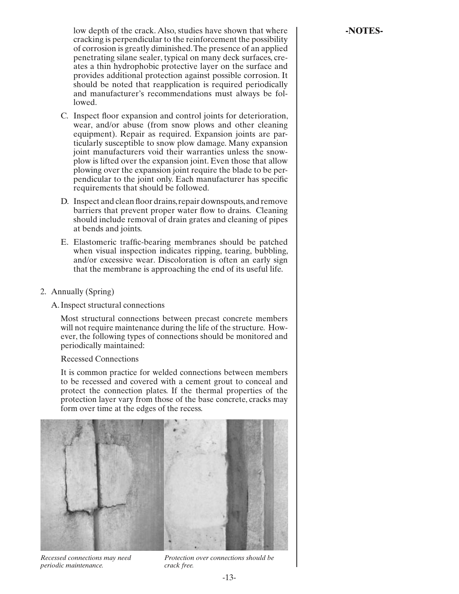low depth of the crack. Also, studies have shown that where **Fig. 1.4. INOTES**cracking is perpendicular to the reinforcement the possibility of corrosion is greatly diminished. The presence of an applied penetrating silane sealer, typical on many deck surfaces, creates a thin hydrophobic protective layer on the surface and provides additional protection against possible corrosion. It should be noted that reapplication is required periodically and manufacturer's recommendations must always be followed.

- C. Inspect floor expansion and control joints for deterioration, wear, and/or abuse (from snow plows and other cleaning equipment). Repair as required. Expansion joints are particularly susceptible to snow plow damage. Many expansion joint manufacturers void their warranties unless the snowplow is lifted over the expansion joint. Even those that allow plowing over the expansion joint require the blade to be perpendicular to the joint only. Each manufacturer has specific requirements that should be followed.
- D. Inspect and clean floor drains, repair downspouts, and remove barriers that prevent proper water flow to drains. Cleaning should include removal of drain grates and cleaning of pipes at bends and joints.
- E. Elastomeric traffic-bearing membranes should be patched when visual inspection indicates ripping, tearing, bubbling, and/or excessive wear. Discoloration is often an early sign that the membrane is approaching the end of its useful life.
- 2. Annually (Spring)

#### A. Inspect structural connections

 Most structural connections between precast concrete members will not require maintenance during the life of the structure. However, the following types of connections should be monitored and periodically maintained:

Recessed Connections

 It is common practice for welded connections between members to be recessed and covered with a cement grout to conceal and protect the connection plates. If the thermal properties of the protection layer vary from those of the base concrete, cracks may form over time at the edges of the recess.



*Recessed connections may need periodic maintenance.*

*Protection over connections should be crack free.*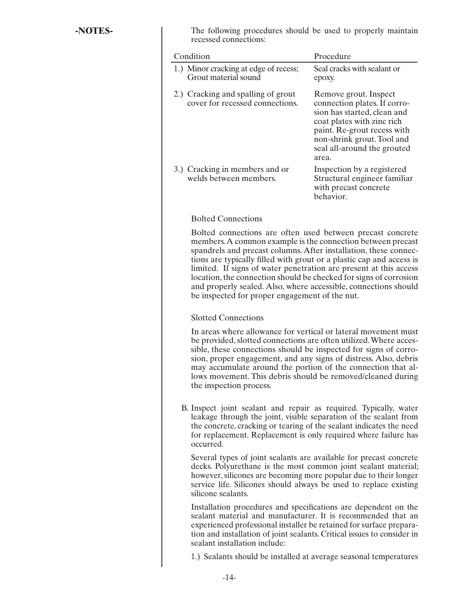**-NOTES-** The following procedures should be used to properly maintain recessed connections:

| Condition                                                             | Procedure                                                                                                                                                                                                               |
|-----------------------------------------------------------------------|-------------------------------------------------------------------------------------------------------------------------------------------------------------------------------------------------------------------------|
| 1.) Minor cracking at edge of recess;<br>Grout material sound         | Seal cracks with sealant or<br>epoxy.                                                                                                                                                                                   |
| 2.) Cracking and spalling of grout<br>cover for recessed connections. | Remove grout. Inspect<br>connection plates. If corro-<br>sion has started, clean and<br>coat plates with zinc rich<br>paint. Re-grout recess with<br>non-shrink grout. Tool and<br>seal all-around the grouted<br>area. |
| 3.) Cracking in members and or<br>welds between members.              | Inspection by a registered<br>Structural engineer familiar<br>with precast concrete<br>behavior.                                                                                                                        |

# Bolted Connections

 Bolted connections are often used between precast concrete members. A common example is the connection between precast spandrels and precast columns. After installation, these connections are typically filled with grout or a plastic cap and access is limited. If signs of water penetration are present at this access location, the connection should be checked for signs of corrosion and properly sealed. Also, where accessible, connections should be inspected for proper engagement of the nut.

#### Slotted Connections

 In areas where allowance for vertical or lateral movement must be provided, slotted connections are often utilized. Where accessible, these connections should be inspected for signs of corrosion, proper engagement, and any signs of distress. Also, debris may accumulate around the portion of the connection that allows movement. This debris should be removed/cleaned during the inspection process.

 B. Inspect joint sealant and repair as required. Typically, water leakage through the joint, visible separation of the sealant from the concrete, cracking or tearing of the sealant indicates the need for replacement. Replacement is only required where failure has occurred.

 Several types of joint sealants are available for precast concrete decks. Polyurethane is the most common joint sealant material; however, silicones are becoming more popular due to their longer service life. Silicones should always be used to replace existing silicone sealants.

 Installation procedures and specifications are dependent on the sealant material and manufacturer. It is recommended that an experienced professional installer be retained for surface preparation and installation of joint sealants. Critical issues to consider in sealant installation include:

1.) Sealants should be installed at average seasonal temperatures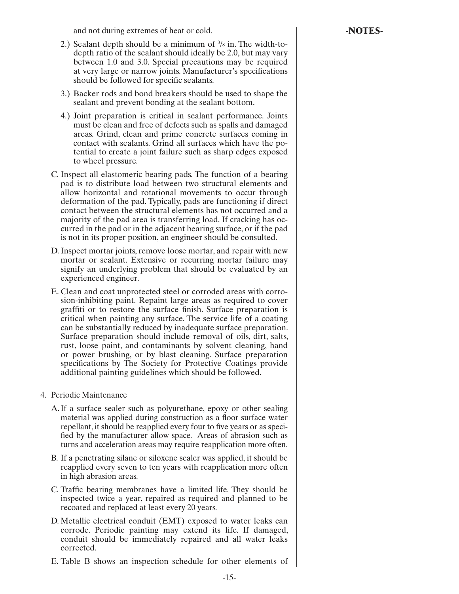and not during extremes of heat or cold. **-NOTES-**

- 2.) Sealant depth should be a minimum of 3 /8 in. The width-todepth ratio of the sealant should ideally be 2.0, but may vary between 1.0 and 3.0. Special precautions may be required at very large or narrow joints. Manufacturer's specifications should be followed for specific sealants.
	- 3.) Backer rods and bond breakers should be used to shape the sealant and prevent bonding at the sealant bottom.
	- 4.) Joint preparation is critical in sealant performance. Joints must be clean and free of defects such as spalls and damaged areas. Grind, clean and prime concrete surfaces coming in contact with sealants. Grind all surfaces which have the potential to create a joint failure such as sharp edges exposed to wheel pressure.
	- C. Inspect all elastomeric bearing pads. The function of a bearing pad is to distribute load between two structural elements and allow horizontal and rotational movements to occur through deformation of the pad. Typically, pads are functioning if direct contact between the structural elements has not occurred and a majority of the pad area is transferring load. If cracking has occurred in the pad or in the adjacent bearing surface, or if the pad is not in its proper position, an engineer should be consulted.
	- D. Inspect mortar joints, remove loose mortar, and repair with new mortar or sealant. Extensive or recurring mortar failure may signify an underlying problem that should be evaluated by an experienced engineer.
	- E. Clean and coat unprotected steel or corroded areas with corrosion-inhibiting paint. Repaint large areas as required to cover graffiti or to restore the surface finish. Surface preparation is critical when painting any surface. The service life of a coating can be substantially reduced by inadequate surface preparation. Surface preparation should include removal of oils, dirt, salts, rust, loose paint, and contaminants by solvent cleaning, hand or power brushing, or by blast cleaning. Surface preparation specifications by The Society for Protective Coatings provide additional painting guidelines which should be followed.
- 4. Periodic Maintenance
	- A. If a surface sealer such as polyurethane, epoxy or other sealing material was applied during construction as a floor surface water repellant, it should be reapplied every four to five years or as specified by the manufacturer allow space. Areas of abrasion such as turns and acceleration areas may require reapplication more often.
	- B. If a penetrating silane or siloxene sealer was applied, it should be reapplied every seven to ten years with reapplication more often in high abrasion areas.
	- C. Traffic bearing membranes have a limited life. They should be inspected twice a year, repaired as required and planned to be recoated and replaced at least every 20 years.
	- D. Metallic electrical conduit (EMT) exposed to water leaks can corrode. Periodic painting may extend its life. If damaged, conduit should be immediately repaired and all water leaks corrected.
	- E. Table B shows an inspection schedule for other elements of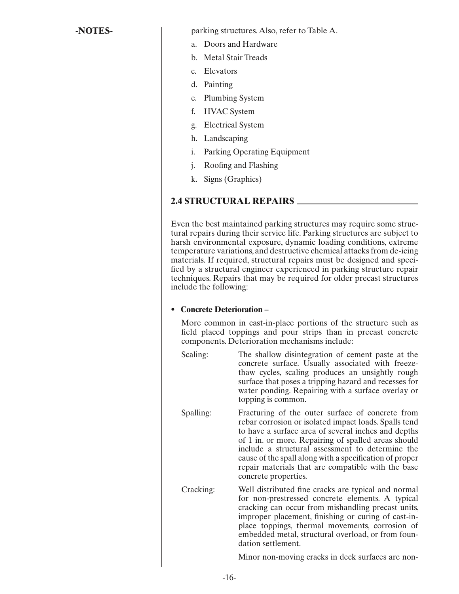<span id="page-18-0"></span>**-NOTES-**  $\qquad$  parking structures. Also, refer to Table A.

- a. Doors and Hardware
- b. Metal Stair Treads
- c. Elevators
- d. Painting
- e. Plumbing System
- f. HVAC System
- g. Electrical System
- h. Landscaping
- i. Parking Operating Equipment
- j. Roofing and Flashing
- k. Signs (Graphics)

# **2.4 STRUCTURAL REPAIRS**

Even the best maintained parking structures may require some structural repairs during their service life. Parking structures are subject to harsh environmental exposure, dynamic loading conditions, extreme temperature variations, and destructive chemical attacks from de-icing materials. If required, structural repairs must be designed and specified by a structural engineer experienced in parking structure repair techniques. Repairs that may be required for older precast structures include the following:

#### **• Concrete Deterioration –**

More common in cast-in-place portions of the structure such as field placed toppings and pour strips than in precast concrete components. Deterioration mechanisms include:

- Scaling: The shallow disintegration of cement paste at the concrete surface. Usually associated with freezethaw cycles, scaling produces an unsightly rough surface that poses a tripping hazard and recesses for water ponding. Repairing with a surface overlay or topping is common.
- Spalling: Fracturing of the outer surface of concrete from rebar corrosion or isolated impact loads. Spalls tend to have a surface area of several inches and depths of 1 in. or more. Repairing of spalled areas should include a structural assessment to determine the cause of the spall along with a specification of proper repair materials that are compatible with the base concrete properties.
- Cracking: Well distributed fine cracks are typical and normal for non-prestressed concrete elements. A typical cracking can occur from mishandling precast units, improper placement, finishing or curing of cast-inplace toppings, thermal movements, corrosion of embedded metal, structural overload, or from foundation settlement.

Minor non-moving cracks in deck surfaces are non-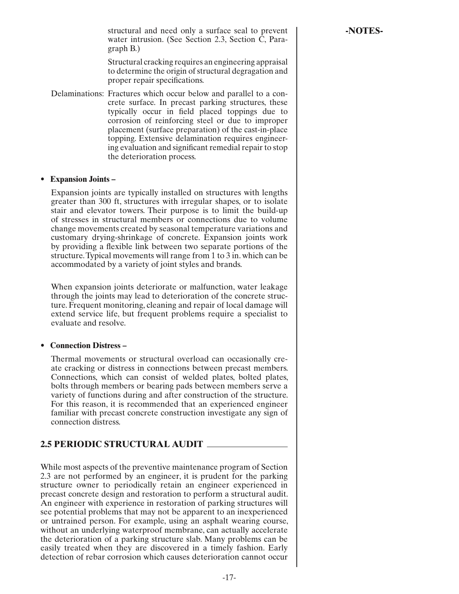structural and need only a surface seal to prevent **Figure 1 -NOTES** water intrusion. (See Section 2.3, Section C, Paragraph B.)

 Structural cracking requires an engineering appraisal to determine the origin of structural degragation and proper repair specifications.

<span id="page-19-0"></span> Delaminations: Fractures which occur below and parallel to a concrete surface. In precast parking structures, these typically occur in field placed toppings due to corrosion of reinforcing steel or due to improper placement (surface preparation) of the cast-in-place topping. Extensive delamination requires engineering evaluation and significant remedial repair to stop the deterioration process.

#### **• Expansion Joints –**

Expansion joints are typically installed on structures with lengths greater than 300 ft, structures with irregular shapes, or to isolate stair and elevator towers. Their purpose is to limit the build-up of stresses in structural members or connections due to volume change movements created by seasonal temperature variations and customary drying-shrinkage of concrete. Expansion joints work by providing a flexible link between two separate portions of the structure. Typical movements will range from 1 to 3 in. which can be accommodated by a variety of joint styles and brands.

When expansion joints deteriorate or malfunction, water leakage through the joints may lead to deterioration of the concrete structure. Frequent monitoring, cleaning and repair of local damage will extend service life, but frequent problems require a specialist to evaluate and resolve.

#### **• Connection Distress –**

Thermal movements or structural overload can occasionally create cracking or distress in connections between precast members. Connections, which can consist of welded plates, bolted plates, bolts through members or bearing pads between members serve a variety of functions during and after construction of the structure. For this reason, it is recommended that an experienced engineer familiar with precast concrete construction investigate any sign of connection distress.

# **2.5 PERIODIC STRUCTURAL AUDIT**

While most aspects of the preventive maintenance program of Section 2.3 are not performed by an engineer, it is prudent for the parking structure owner to periodically retain an engineer experienced in precast concrete design and restoration to perform a structural audit. An engineer with experience in restoration of parking structures will see potential problems that may not be apparent to an inexperienced or untrained person. For example, using an asphalt wearing course, without an underlying waterproof membrane, can actually accelerate the deterioration of a parking structure slab. Many problems can be easily treated when they are discovered in a timely fashion. Early detection of rebar corrosion which causes deterioration cannot occur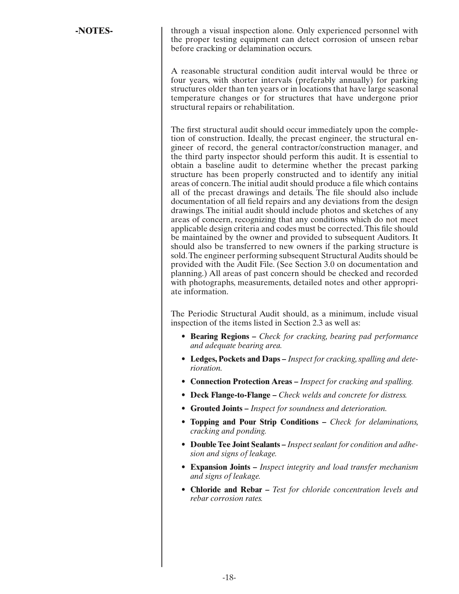**-NOTES-** through a visual inspection alone. Only experienced personnel with the proper testing equipment can detect corrosion of unseen rebar before cracking or delamination occurs.

> A reasonable structural condition audit interval would be three or four years, with shorter intervals (preferably annually) for parking structures older than ten years or in locations that have large seasonal temperature changes or for structures that have undergone prior structural repairs or rehabilitation.

> The first structural audit should occur immediately upon the completion of construction. Ideally, the precast engineer, the structural engineer of record, the general contractor/construction manager, and the third party inspector should perform this audit. It is essential to obtain a baseline audit to determine whether the precast parking structure has been properly constructed and to identify any initial areas of concern. The initial audit should produce a file which contains all of the precast drawings and details. The file should also include documentation of all field repairs and any deviations from the design drawings. The initial audit should include photos and sketches of any areas of concern, recognizing that any conditions which do not meet applicable design criteria and codes must be corrected. This file should be maintained by the owner and provided to subsequent Auditors. It should also be transferred to new owners if the parking structure is sold. The engineer performing subsequent Structural Audits should be provided with the Audit File. (See Section 3.0 on documentation and planning.) All areas of past concern should be checked and recorded with photographs, measurements, detailed notes and other appropriate information.

> The Periodic Structural Audit should, as a minimum, include visual inspection of the items listed in Section 2.3 as well as:

- **Bearing Regions** *Check for cracking, bearing pad performance and adequate bearing area.*
- **Ledges, Pockets and Daps** *Inspect for cracking, spalling and deterioration.*
- **Connection Protection Areas** *Inspect for cracking and spalling.*
- **Deck Flange-to-Flange** *Check welds and concrete for distress.*
- **Grouted Joints** *Inspect for soundness and deterioration.*
- **Topping and Pour Strip Conditions** *Check for delaminations, cracking and ponding.*
- **Double Tee Joint Sealants** *Inspect sealant for condition and adhesion and signs of leakage.*
- **Expansion Joints –** *Inspect integrity and load transfer mechanism and signs of leakage.*
- **Chloride and Rebar –** *Test for chloride concentration levels and rebar corrosion rates.*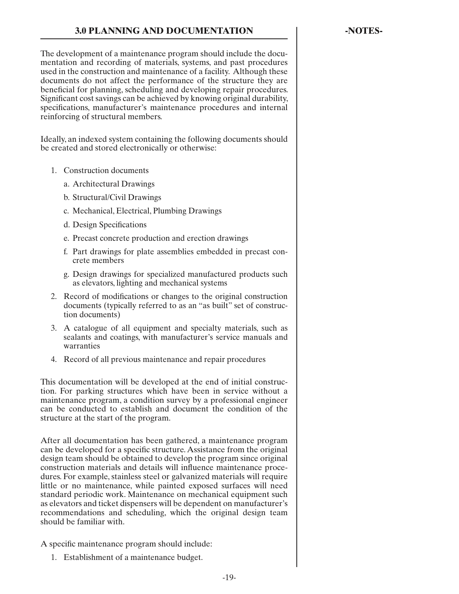<span id="page-21-0"></span>The development of a maintenance program should include the documentation and recording of materials, systems, and past procedures used in the construction and maintenance of a facility. Although these documents do not affect the performance of the structure they are beneficial for planning, scheduling and developing repair procedures. Significant cost savings can be achieved by knowing original durability, specifications, manufacturer's maintenance procedures and internal reinforcing of structural members.

Ideally, an indexed system containing the following documents should be created and stored electronically or otherwise:

- 1. Construction documents
	- a. Architectural Drawings
	- b. Structural/Civil Drawings
	- c. Mechanical, Electrical, Plumbing Drawings
	- d. Design Specifications
	- e. Precast concrete production and erection drawings
	- f. Part drawings for plate assemblies embedded in precast concrete members
	- g. Design drawings for specialized manufactured products such as elevators, lighting and mechanical systems
- 2. Record of modifications or changes to the original construction documents (typically referred to as an "as built" set of construction documents)
- 3. A catalogue of all equipment and specialty materials, such as sealants and coatings, with manufacturer's service manuals and warranties
- 4. Record of all previous maintenance and repair procedures

This documentation will be developed at the end of initial construction. For parking structures which have been in service without a maintenance program, a condition survey by a professional engineer can be conducted to establish and document the condition of the structure at the start of the program.

After all documentation has been gathered, a maintenance program can be developed for a specific structure. Assistance from the original design team should be obtained to develop the program since original construction materials and details will influence maintenance procedures. For example, stainless steel or galvanized materials will require little or no maintenance, while painted exposed surfaces will need standard periodic work. Maintenance on mechanical equipment such as elevators and ticket dispensers will be dependent on manufacturer's recommendations and scheduling, which the original design team should be familiar with.

A specific maintenance program should include:

1. Establishment of a maintenance budget.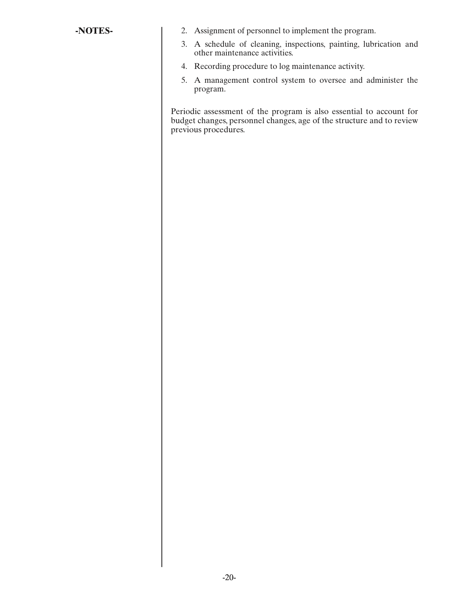- **-NOTES-** 2. Assignment of personnel to implement the program.
	- 3. A schedule of cleaning, inspections, painting, lubrication and other maintenance activities.
	- 4. Recording procedure to log maintenance activity.
	- 5. A management control system to oversee and administer the program.

Periodic assessment of the program is also essential to account for budget changes, personnel changes, age of the structure and to review previous procedures.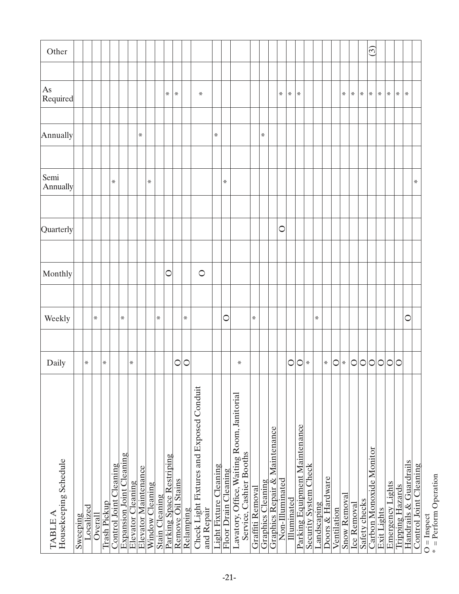<span id="page-23-0"></span>

| $\widetilde{\omega}$<br>₩<br>₩<br>₩<br>⋇<br>₩<br>₩<br>⋇<br>₩<br>₩<br>₩<br>⋇<br>₩<br>⋇<br>₩<br>₩<br>₩<br>₩<br>₩<br>₩<br>⋇<br>⋇<br>$\bigcirc$<br>C<br>$\circ$<br>C<br>₩<br>C<br>⋇<br>₩<br>₩<br>₩<br>₩<br>$\circ$<br>C<br>$\bigcirc$<br>$\circ$<br>$\circ$<br>$\circ$<br>$\bigcirc$<br>$\circ$<br>$\circ$<br>O<br>⋇<br>₩<br>₩<br>₩<br>⋇<br>⋇<br>⋇<br>O<br>Check Light Fixtures and Exposed Conduit<br>Lavatory, Office, Waiting Room, Janitorial<br>Parking Equipment Maintenance<br>Graphics Repair & Maintenance<br>Carbon Monoxide Monitor<br>Service, Cashier Booths<br>Expansion Joint Cleaning<br>Parking Space Restriping<br>Handrails & Guardrails<br>Light Fixture Cleaning<br>Security System Check<br>Control Joint Cleaning<br>Control Joint Cleaning<br>Elevator Maintenance<br>Floor Drain Cleaning<br>Doors & Hardware<br>Non-Illuminated<br>Remove Oil Stains<br><b>Graphics Cleaning</b><br>Elevator Cleaning<br>Emergency Lights<br>Window Cleaning<br>Tripping Hazards<br>Graffiti Removal<br>Snow Removal<br>Stain Cleaning<br>Illuminated<br>Safety checks<br>Trash Pickup<br>Landscaping<br><b>Ice Removal</b><br>Localized<br>Exit Lights<br>and Repair<br>Ventilation<br>Relamping<br>Overall<br>Sweeping | Housekeeping Schedule<br>TABLE A | Daily | Weekly | Monthly | Quarterly | Semi<br>Annually | Annually | As<br>Required | Other |
|--------------------------------------------------------------------------------------------------------------------------------------------------------------------------------------------------------------------------------------------------------------------------------------------------------------------------------------------------------------------------------------------------------------------------------------------------------------------------------------------------------------------------------------------------------------------------------------------------------------------------------------------------------------------------------------------------------------------------------------------------------------------------------------------------------------------------------------------------------------------------------------------------------------------------------------------------------------------------------------------------------------------------------------------------------------------------------------------------------------------------------------------------------------------------------------------------------------------------------|----------------------------------|-------|--------|---------|-----------|------------------|----------|----------------|-------|
|                                                                                                                                                                                                                                                                                                                                                                                                                                                                                                                                                                                                                                                                                                                                                                                                                                                                                                                                                                                                                                                                                                                                                                                                                                |                                  |       |        |         |           |                  |          |                |       |
|                                                                                                                                                                                                                                                                                                                                                                                                                                                                                                                                                                                                                                                                                                                                                                                                                                                                                                                                                                                                                                                                                                                                                                                                                                |                                  |       |        |         |           |                  |          |                |       |
|                                                                                                                                                                                                                                                                                                                                                                                                                                                                                                                                                                                                                                                                                                                                                                                                                                                                                                                                                                                                                                                                                                                                                                                                                                |                                  |       |        |         |           |                  |          |                |       |
|                                                                                                                                                                                                                                                                                                                                                                                                                                                                                                                                                                                                                                                                                                                                                                                                                                                                                                                                                                                                                                                                                                                                                                                                                                |                                  |       |        |         |           |                  |          |                |       |
|                                                                                                                                                                                                                                                                                                                                                                                                                                                                                                                                                                                                                                                                                                                                                                                                                                                                                                                                                                                                                                                                                                                                                                                                                                |                                  |       |        |         |           |                  |          |                |       |
|                                                                                                                                                                                                                                                                                                                                                                                                                                                                                                                                                                                                                                                                                                                                                                                                                                                                                                                                                                                                                                                                                                                                                                                                                                |                                  |       |        |         |           |                  |          |                |       |
|                                                                                                                                                                                                                                                                                                                                                                                                                                                                                                                                                                                                                                                                                                                                                                                                                                                                                                                                                                                                                                                                                                                                                                                                                                |                                  |       |        |         |           |                  |          |                |       |
|                                                                                                                                                                                                                                                                                                                                                                                                                                                                                                                                                                                                                                                                                                                                                                                                                                                                                                                                                                                                                                                                                                                                                                                                                                |                                  |       |        |         |           |                  |          |                |       |
|                                                                                                                                                                                                                                                                                                                                                                                                                                                                                                                                                                                                                                                                                                                                                                                                                                                                                                                                                                                                                                                                                                                                                                                                                                |                                  |       |        |         |           |                  |          |                |       |
|                                                                                                                                                                                                                                                                                                                                                                                                                                                                                                                                                                                                                                                                                                                                                                                                                                                                                                                                                                                                                                                                                                                                                                                                                                |                                  |       |        |         |           |                  |          |                |       |
|                                                                                                                                                                                                                                                                                                                                                                                                                                                                                                                                                                                                                                                                                                                                                                                                                                                                                                                                                                                                                                                                                                                                                                                                                                |                                  |       |        |         |           |                  |          |                |       |
| $O = Inspect$                                                                                                                                                                                                                                                                                                                                                                                                                                                                                                                                                                                                                                                                                                                                                                                                                                                                                                                                                                                                                                                                                                                                                                                                                  |                                  |       |        |         |           |                  |          |                |       |
|                                                                                                                                                                                                                                                                                                                                                                                                                                                                                                                                                                                                                                                                                                                                                                                                                                                                                                                                                                                                                                                                                                                                                                                                                                |                                  |       |        |         |           |                  |          |                |       |
|                                                                                                                                                                                                                                                                                                                                                                                                                                                                                                                                                                                                                                                                                                                                                                                                                                                                                                                                                                                                                                                                                                                                                                                                                                |                                  |       |        |         |           |                  |          |                |       |
|                                                                                                                                                                                                                                                                                                                                                                                                                                                                                                                                                                                                                                                                                                                                                                                                                                                                                                                                                                                                                                                                                                                                                                                                                                |                                  |       |        |         |           |                  |          |                |       |
|                                                                                                                                                                                                                                                                                                                                                                                                                                                                                                                                                                                                                                                                                                                                                                                                                                                                                                                                                                                                                                                                                                                                                                                                                                |                                  |       |        |         |           |                  |          |                |       |
|                                                                                                                                                                                                                                                                                                                                                                                                                                                                                                                                                                                                                                                                                                                                                                                                                                                                                                                                                                                                                                                                                                                                                                                                                                |                                  |       |        |         |           |                  |          |                |       |
|                                                                                                                                                                                                                                                                                                                                                                                                                                                                                                                                                                                                                                                                                                                                                                                                                                                                                                                                                                                                                                                                                                                                                                                                                                |                                  |       |        |         |           |                  |          |                |       |
|                                                                                                                                                                                                                                                                                                                                                                                                                                                                                                                                                                                                                                                                                                                                                                                                                                                                                                                                                                                                                                                                                                                                                                                                                                |                                  |       |        |         |           |                  |          |                |       |
|                                                                                                                                                                                                                                                                                                                                                                                                                                                                                                                                                                                                                                                                                                                                                                                                                                                                                                                                                                                                                                                                                                                                                                                                                                |                                  |       |        |         |           |                  |          |                |       |
|                                                                                                                                                                                                                                                                                                                                                                                                                                                                                                                                                                                                                                                                                                                                                                                                                                                                                                                                                                                                                                                                                                                                                                                                                                |                                  |       |        |         |           |                  |          |                |       |
|                                                                                                                                                                                                                                                                                                                                                                                                                                                                                                                                                                                                                                                                                                                                                                                                                                                                                                                                                                                                                                                                                                                                                                                                                                |                                  |       |        |         |           |                  |          |                |       |
|                                                                                                                                                                                                                                                                                                                                                                                                                                                                                                                                                                                                                                                                                                                                                                                                                                                                                                                                                                                                                                                                                                                                                                                                                                |                                  |       |        |         |           |                  |          |                |       |
|                                                                                                                                                                                                                                                                                                                                                                                                                                                                                                                                                                                                                                                                                                                                                                                                                                                                                                                                                                                                                                                                                                                                                                                                                                |                                  |       |        |         |           |                  |          |                |       |
|                                                                                                                                                                                                                                                                                                                                                                                                                                                                                                                                                                                                                                                                                                                                                                                                                                                                                                                                                                                                                                                                                                                                                                                                                                |                                  |       |        |         |           |                  |          |                |       |
|                                                                                                                                                                                                                                                                                                                                                                                                                                                                                                                                                                                                                                                                                                                                                                                                                                                                                                                                                                                                                                                                                                                                                                                                                                |                                  |       |        |         |           |                  |          |                |       |
|                                                                                                                                                                                                                                                                                                                                                                                                                                                                                                                                                                                                                                                                                                                                                                                                                                                                                                                                                                                                                                                                                                                                                                                                                                |                                  |       |        |         |           |                  |          |                |       |
|                                                                                                                                                                                                                                                                                                                                                                                                                                                                                                                                                                                                                                                                                                                                                                                                                                                                                                                                                                                                                                                                                                                                                                                                                                |                                  |       |        |         |           |                  |          |                |       |
|                                                                                                                                                                                                                                                                                                                                                                                                                                                                                                                                                                                                                                                                                                                                                                                                                                                                                                                                                                                                                                                                                                                                                                                                                                |                                  |       |        |         |           |                  |          |                |       |
|                                                                                                                                                                                                                                                                                                                                                                                                                                                                                                                                                                                                                                                                                                                                                                                                                                                                                                                                                                                                                                                                                                                                                                                                                                |                                  |       |        |         |           |                  |          |                |       |
|                                                                                                                                                                                                                                                                                                                                                                                                                                                                                                                                                                                                                                                                                                                                                                                                                                                                                                                                                                                                                                                                                                                                                                                                                                |                                  |       |        |         |           |                  |          |                |       |
|                                                                                                                                                                                                                                                                                                                                                                                                                                                                                                                                                                                                                                                                                                                                                                                                                                                                                                                                                                                                                                                                                                                                                                                                                                |                                  |       |        |         |           |                  |          |                |       |
|                                                                                                                                                                                                                                                                                                                                                                                                                                                                                                                                                                                                                                                                                                                                                                                                                                                                                                                                                                                                                                                                                                                                                                                                                                |                                  |       |        |         |           |                  |          |                |       |
|                                                                                                                                                                                                                                                                                                                                                                                                                                                                                                                                                                                                                                                                                                                                                                                                                                                                                                                                                                                                                                                                                                                                                                                                                                |                                  |       |        |         |           |                  |          |                |       |
|                                                                                                                                                                                                                                                                                                                                                                                                                                                                                                                                                                                                                                                                                                                                                                                                                                                                                                                                                                                                                                                                                                                                                                                                                                |                                  |       |        |         |           |                  |          |                |       |
|                                                                                                                                                                                                                                                                                                                                                                                                                                                                                                                                                                                                                                                                                                                                                                                                                                                                                                                                                                                                                                                                                                                                                                                                                                |                                  |       |        |         |           |                  |          |                |       |
|                                                                                                                                                                                                                                                                                                                                                                                                                                                                                                                                                                                                                                                                                                                                                                                                                                                                                                                                                                                                                                                                                                                                                                                                                                |                                  |       |        |         |           |                  |          |                |       |
|                                                                                                                                                                                                                                                                                                                                                                                                                                                                                                                                                                                                                                                                                                                                                                                                                                                                                                                                                                                                                                                                                                                                                                                                                                |                                  |       |        |         |           |                  |          |                |       |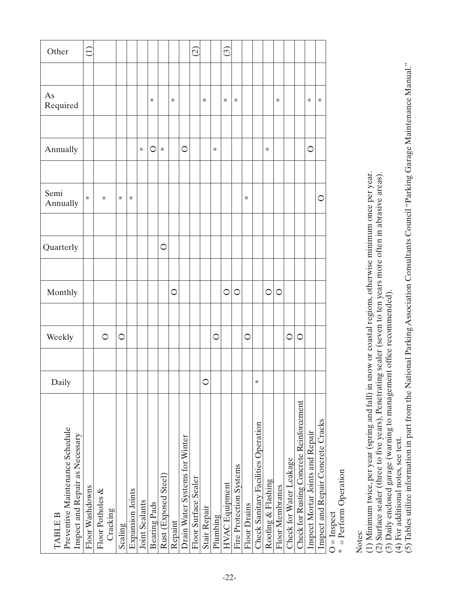<span id="page-24-0"></span>

| $\widehat{\Xi}$ |                 |                  |          |                                    |                       |         |                                      |         | $\widehat{\Omega}$             |                      |                     | ဨ       |                                   |                         |              |                                     |                    |                 |                         |                                          |                                    |
|-----------------|-----------------|------------------|----------|------------------------------------|-----------------------|---------|--------------------------------------|---------|--------------------------------|----------------------|---------------------|---------|-----------------------------------|-------------------------|--------------|-------------------------------------|--------------------|-----------------|-------------------------|------------------------------------------|------------------------------------|
|                 |                 |                  |          |                                    |                       |         |                                      |         |                                |                      |                     |         |                                   |                         |              |                                     |                    |                 |                         |                                          |                                    |
|                 |                 |                  |          |                                    | ₩                     |         | ₩                                    |         |                                | ₩                    |                     | ₩       | ₩                                 |                         |              |                                     | ₩                  |                 |                         | ₩                                        | ₩                                  |
|                 |                 |                  |          |                                    |                       |         |                                      |         |                                |                      |                     |         |                                   |                         |              |                                     |                    |                 |                         |                                          |                                    |
|                 |                 |                  |          | ₩                                  | ○                     | ₩       |                                      | $\circ$ |                                |                      | ₩                   |         |                                   |                         |              | ₩                                   |                    |                 |                         | $\circ$                                  |                                    |
|                 |                 |                  |          |                                    |                       |         |                                      |         |                                |                      |                     |         |                                   |                         |              |                                     |                    |                 |                         |                                          |                                    |
| ₩               | ₩               | ₩                | ₩        |                                    |                       |         |                                      |         |                                |                      |                     |         |                                   | ₩                       |              |                                     |                    |                 |                         |                                          | $\circ$                            |
|                 |                 |                  |          |                                    |                       |         |                                      |         |                                |                      |                     |         |                                   |                         |              |                                     |                    |                 |                         |                                          |                                    |
|                 |                 |                  |          |                                    |                       | $\circ$ |                                      |         |                                |                      |                     |         |                                   |                         |              |                                     |                    |                 |                         |                                          |                                    |
|                 |                 |                  |          |                                    |                       |         |                                      |         |                                |                      |                     |         |                                   |                         |              |                                     |                    |                 |                         |                                          |                                    |
|                 |                 |                  |          |                                    |                       |         | $\circ$                              |         |                                |                      |                     | $\circ$ | $\circ$                           |                         |              | $\circ$                             | $\circ$            |                 |                         |                                          |                                    |
|                 |                 |                  |          |                                    |                       |         |                                      |         |                                |                      |                     |         |                                   |                         |              |                                     |                    |                 |                         |                                          |                                    |
|                 | $\circ$         | $\circ$          |          |                                    |                       |         |                                      |         |                                |                      | $\circ$             |         |                                   | $\circ$                 |              |                                     |                    | C               | $\circ$                 |                                          |                                    |
|                 |                 |                  |          |                                    |                       |         |                                      |         |                                |                      |                     |         |                                   |                         |              |                                     |                    |                 |                         |                                          |                                    |
|                 |                 |                  |          |                                    |                       |         |                                      |         |                                | $\circ$              |                     |         |                                   |                         | ₩            |                                     |                    |                 |                         |                                          |                                    |
|                 |                 |                  |          |                                    |                       |         |                                      |         |                                |                      |                     |         |                                   |                         |              |                                     |                    |                 |                         |                                          | Inspect and Repair Concrete Cracks |
|                 | Floor Washdowns | Floor Potholes & | Cracking | <b>Expansion Joints</b><br>Scaling | <b>Joint Sealants</b> |         | Rust (Exposed Steel)<br>Bearing Pads | Repaint | Drain Water Systems for Winter | Floor Surface Sealer | <b>Stair Repair</b> |         | <b>HVAC</b> Equipment<br>Plumbing | Fire Protection Systems | Floor Drains | Check Sanitary Facilities Operation | Roofing & Flashing | Floor Membranes | Check for Water Leakage | Check for Rusting Concrete Reinforcement | Inspect Mortar Joints and Repair   |

O = Inspect

 $O =$ Inspect<br>\* = Perform Operation \* = Perform Operation

Notes:

(1) Minimum twice, per year (spring and fall) in snow or coastal regions, otherwise minimum once per year. (1) Minimum twice, per year (spring and fall) in snow or coastal regions, otherwise minimum once per year.

(2) Surface sealer (three to five years), Penetrating sealer (seven to ten years more often in abrasive areas). (2) Surface sealer (three to five years), Penetrating sealer (seven to ten years more often in abrasive areas).

(3) Daily enclosed garage (warning to management office recommended).

(4) For additional notes, see text.

(3) Daily enclosed garage (warning to management office recommended).<br>(4) For additional notes, see text.<br>(5) Tables utilize information in part from the National Parking Association Consultants Council "Parking Garage Mai (5) Tables utilize information in part from the National Parking Association Consultants Council "Parking Garage Maintenance Manual."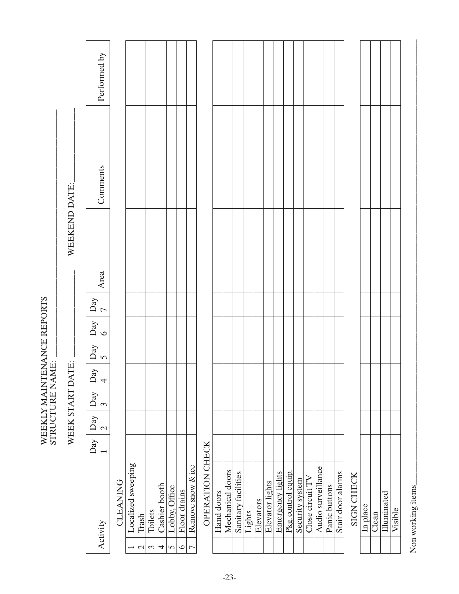|                 | Performed by                                                |          |                    |                        |                       |                    |                           |                         |                                     |                 |            |                  |                     |        |           |                 |                  |                     |                 |                  |                    |               |                   |                   |          |       |             |         |
|-----------------|-------------------------------------------------------------|----------|--------------------|------------------------|-----------------------|--------------------|---------------------------|-------------------------|-------------------------------------|-----------------|------------|------------------|---------------------|--------|-----------|-----------------|------------------|---------------------|-----------------|------------------|--------------------|---------------|-------------------|-------------------|----------|-------|-------------|---------|
|                 | Comments                                                    |          |                    |                        |                       |                    |                           |                         |                                     |                 |            |                  |                     |        |           |                 |                  |                     |                 |                  |                    |               |                   |                   |          |       |             |         |
| WEEKEND DATE:   | Area                                                        |          |                    |                        |                       |                    |                           |                         |                                     |                 |            |                  |                     |        |           |                 |                  |                     |                 |                  |                    |               |                   |                   |          |       |             |         |
|                 |                                                             |          |                    |                        |                       |                    |                           |                         |                                     |                 |            |                  |                     |        |           |                 |                  |                     |                 |                  |                    |               |                   |                   |          |       |             |         |
|                 | ${\rm Day}$<br>$\overline{ }$                               |          |                    |                        |                       |                    |                           |                         |                                     |                 |            |                  |                     |        |           |                 |                  |                     |                 |                  |                    |               |                   |                   |          |       |             |         |
|                 | Day                                                         |          |                    |                        |                       |                    |                           |                         |                                     |                 |            |                  |                     |        |           |                 |                  |                     |                 |                  |                    |               |                   |                   |          |       |             |         |
|                 | $\mathop{\rm Day}\nolimits$<br>$\overline{v}$               |          |                    |                        |                       |                    |                           |                         |                                     |                 |            |                  |                     |        |           |                 |                  |                     |                 |                  |                    |               |                   |                   |          |       |             |         |
| WEEK START DATE | <b>A</b> <sub>c</sub><br>$\Box$<br>$\overline{\mathcal{A}}$ |          |                    |                        |                       |                    |                           |                         |                                     |                 |            |                  |                     |        |           |                 |                  |                     |                 |                  |                    |               |                   |                   |          |       |             |         |
|                 | $\mathbf{Day}$<br>$\tilde{\mathcal{E}}$                     |          |                    |                        |                       |                    |                           |                         |                                     |                 |            |                  |                     |        |           |                 |                  |                     |                 |                  |                    |               |                   |                   |          |       |             |         |
|                 | Day                                                         |          |                    |                        |                       |                    |                           |                         |                                     |                 |            |                  |                     |        |           |                 |                  |                     |                 |                  |                    |               |                   |                   |          |       |             |         |
|                 | Day                                                         |          |                    |                        |                       |                    |                           |                         |                                     |                 |            |                  |                     |        |           |                 |                  |                     |                 |                  |                    |               |                   |                   |          |       |             |         |
|                 | Activity                                                    | CLEANING | Localized sweeping | Trash<br>$\mathcal{L}$ | Toilets<br>$\epsilon$ | Cashier booth<br>4 | Lobby, Office<br>$\sigma$ | Floor drains<br>$\circ$ | Remove snow & ice<br>$\overline{C}$ | OPERATION CHECK | Hand doors | Mechanical doors | Sanitary facilities | Lights | Elevators | Elevator lights | Emergency lights | Pkg. control equip. | Security system | Close circuit TV | Audio surveillance | Panic buttons | Stair door alarms | <b>SIGN CHECK</b> | In place | Clean | Illuminated | Visible |

WEEKLY MAINTENANCE REPORTS

STRUCTURE NAME: \_\_\_\_\_\_\_\_\_\_\_\_\_\_\_\_\_\_\_\_\_\_\_\_\_\_\_\_\_\_\_\_\_\_\_\_\_\_\_\_\_\_\_\_\_\_\_\_\_\_\_\_\_\_\_\_\_\_\_\_

WEEKLY MAINTENANCE REPORTS<br>STRUCTURE NAME:

Non working items  $\_$ Non working items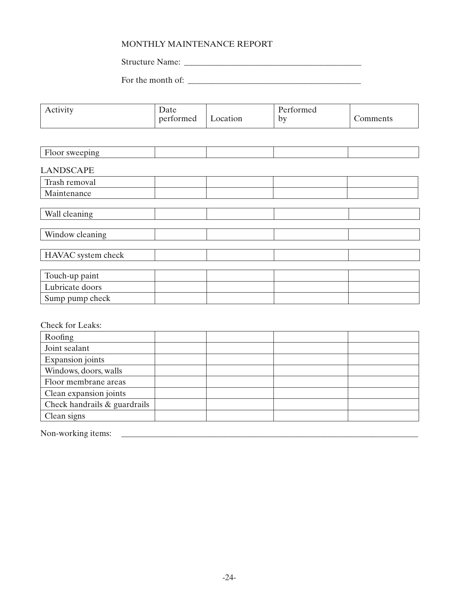# MONTHLY MAINTENANCE REPORT

Structure Name: \_\_\_\_\_\_\_\_\_\_\_\_\_\_\_\_\_\_\_\_\_\_\_\_\_\_\_\_\_\_\_\_\_\_\_\_\_\_\_\_\_\_\_

For the month of:  $\frac{1}{2}$   $\frac{1}{2}$   $\frac{1}{2}$   $\frac{1}{2}$   $\frac{1}{2}$   $\frac{1}{2}$   $\frac{1}{2}$   $\frac{1}{2}$   $\frac{1}{2}$   $\frac{1}{2}$   $\frac{1}{2}$   $\frac{1}{2}$   $\frac{1}{2}$   $\frac{1}{2}$   $\frac{1}{2}$   $\frac{1}{2}$   $\frac{1}{2}$   $\frac{1}{2}$   $\frac{1}{2}$   $\frac{1}{2}$   $\frac$ 

<span id="page-26-0"></span>

| Activity                | Date<br>performed | Location | Performed<br>by | Comments |
|-------------------------|-------------------|----------|-----------------|----------|
|                         |                   |          |                 |          |
| Floor sweeping          |                   |          |                 |          |
| <b>LANDSCAPE</b>        |                   |          |                 |          |
| Trash removal           |                   |          |                 |          |
| Maintenance             |                   |          |                 |          |
| Wall cleaning           |                   |          |                 |          |
| Window cleaning         |                   |          |                 |          |
| HAVAC system check      |                   |          |                 |          |
| Touch-up paint          |                   |          |                 |          |
| Lubricate doors         |                   |          |                 |          |
| Sump pump check         |                   |          |                 |          |
| Check for Leaks:        |                   |          |                 |          |
| Roofing                 |                   |          |                 |          |
| Joint sealant           |                   |          |                 |          |
| <b>Expansion</b> joints |                   |          |                 |          |
| Windows, doors, walls   |                   |          |                 |          |
| Floor membrane areas    |                   |          |                 |          |
| Clean expansion joints  |                   |          |                 |          |

Non-working items: \_\_\_\_\_\_\_\_\_\_\_\_\_\_\_\_\_\_\_\_\_\_\_\_\_\_\_\_\_\_\_\_\_\_\_\_\_\_\_\_\_\_\_\_\_\_\_\_\_\_\_\_\_\_\_\_\_\_\_\_\_\_\_\_\_\_\_\_\_\_\_\_

Clean signs

Check handrails & guardrails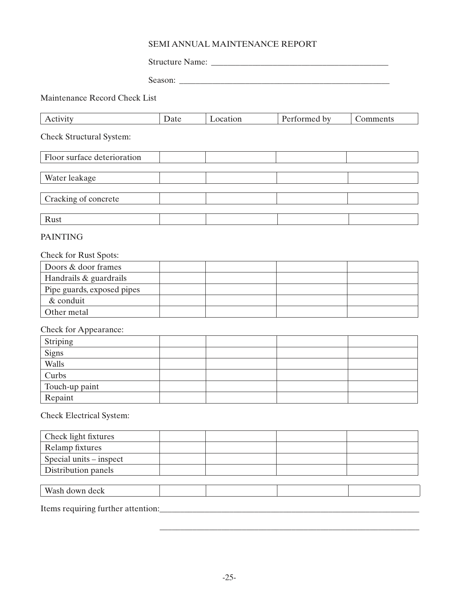# SEMI ANNUAL MAINTENANCE REPORT

Structure Name: \_\_\_\_\_\_\_\_\_\_\_\_\_\_\_\_\_\_\_\_\_\_\_\_\_\_\_\_\_\_\_\_\_\_\_\_\_\_\_\_\_\_\_

Season: \_\_\_\_\_\_\_\_\_\_\_\_\_\_\_\_\_\_\_\_\_\_\_\_\_\_\_\_\_\_\_\_\_\_\_\_\_\_\_\_\_\_\_\_\_\_\_\_\_\_\_

Maintenance Record Check List

| Activity                        | Date | Location | Performed by | Comments |
|---------------------------------|------|----------|--------------|----------|
| <b>Check Structural System:</b> |      |          |              |          |
| Floor surface deterioration     |      |          |              |          |
|                                 |      |          |              |          |
| Water leakage                   |      |          |              |          |
|                                 |      |          |              |          |
| Cracking of concrete            |      |          |              |          |
|                                 |      |          |              |          |
| Rust                            |      |          |              |          |

# PAINTING

#### Check for Rust Spots:

| Doors & door frames        |  |  |
|----------------------------|--|--|
| Handrails & guardrails     |  |  |
| Pipe guards, exposed pipes |  |  |
| $&$ conduit                |  |  |
| <sup>1</sup> Other metal   |  |  |

Check for Appearance:

| Striping                                       |  |  |
|------------------------------------------------|--|--|
| $\frac{\overline{\text{Sigma}}}{\text{Walls}}$ |  |  |
|                                                |  |  |
| Curbs                                          |  |  |
| Touch-up paint                                 |  |  |
| Repaint                                        |  |  |

Check Electrical System:

| Check light fixtures    |  |  |
|-------------------------|--|--|
| Relamp fixtures         |  |  |
| Special units – inspect |  |  |
| Distribution panels     |  |  |
|                         |  |  |
| Wash down deck          |  |  |

Items requiring further attention:\_\_\_\_\_\_\_\_\_\_\_\_\_\_\_\_\_\_\_\_\_\_\_\_\_\_\_\_\_\_\_\_\_\_\_\_\_\_\_\_\_\_\_\_\_\_\_\_\_\_\_\_\_\_\_\_\_\_\_\_\_\_\_

\_\_\_\_\_\_\_\_\_\_\_\_\_\_\_\_\_\_\_\_\_\_\_\_\_\_\_\_\_\_\_\_\_\_\_\_\_\_\_\_\_\_\_\_\_\_\_\_\_\_\_\_\_\_\_\_\_\_\_\_\_\_\_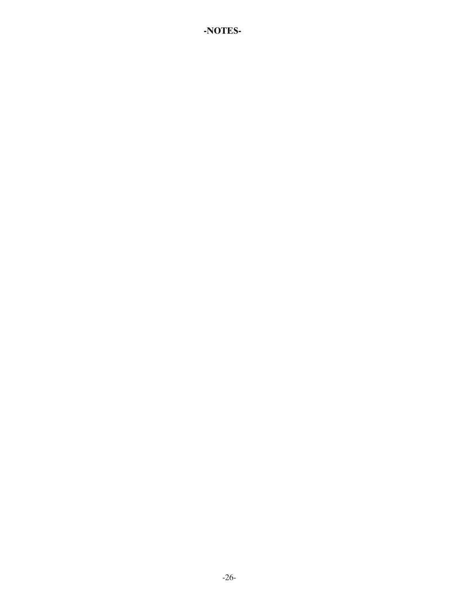# **-NOTES-**